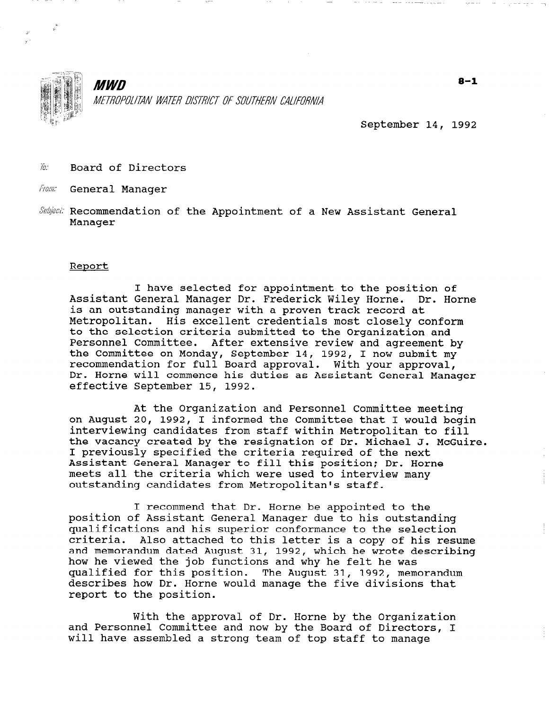

MWN METROPOLITAN WATER DISTRICT OF SOUTHERN CALIFORNIA

September 14, 1992

-..

- $\mathcal{D}$ . Board of Directors
- From: General Manager
- Subject: Recommendation of the Appointment of a New Assistant General Manager

### Report

I have selected for appointment to the position of Assistant General Manager Dr. Frederick Wiley Horne. Dr. Horne is an outstanding manager with a proven track record at Metropolitan. His excellent credentials most closely conform to the selection criteria submitted to the Organization and Personnel Committee. After extensive review and agreement by the Committee on Monday, September 14, 1992, I now submit my recommendation for full Board approval. With your approval, Dr. Horne will commence his duties as Assistant General Manager effective September 15, 1992.

At the Organization and Personnel Committee meeting on August 20, 1992, I informed the Committee that I would begin interviewing candidates from staff within Metropolitan to fill the vacancy created by the resignation of Dr. Michael J. McGuire. I previously specified the criteria required of the next Assistant General Manager to fill this position: Dr. Horne meets all the criteria which were used to interview many outstanding candidates from Metropolitan's staff.

I recommend that Dr. Horne be appointed to the position of Assistant General Manager due to his outstanding qualifications and his superior conformance to the selection quarrituations and his superior conformance to the selection and memorandum dated August 31, 1992, which he wrote describing and memorandum dated August 31, 1992, which he wrote d now he viewed the job functions and why he feft he was qualified for this position. The August 31, 1992, memorandum describes how Dr. Horne would manage the five divisions that report to the position.

 $W_{\alpha}^{(k+1)}$  the approval of Dr. Horne by the Organization with the approval of Dr. Horne by the Organization and Personnel Committee and now by the Board of Directors, I will have assembled a strong team of top staff to manage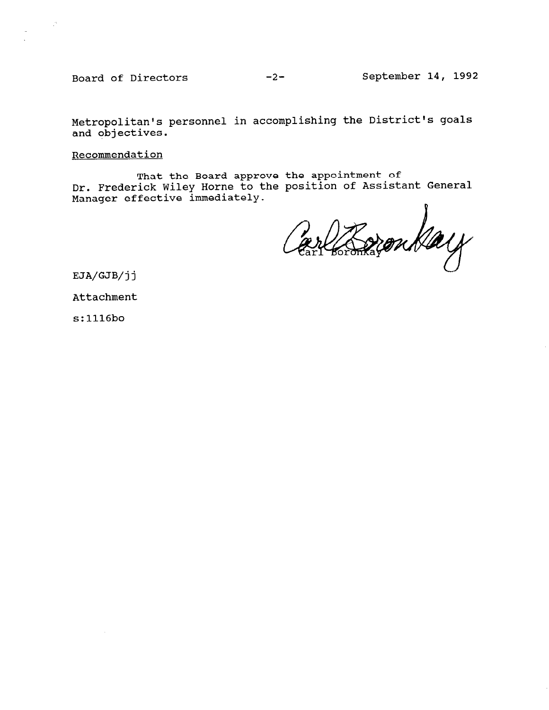$\mathbb{Q}^d$ 

Metropolitan's personnel in accomplishing the District's goals and objectives.

Recommendation

That the Board approve the appointment of Dr. Frederick Wiley Horne to the position of Assistant General

Manager effective immediately.<br>Carl foromage with  $Q$ 

EJA/GJB/jj

Attachment

s:1116bo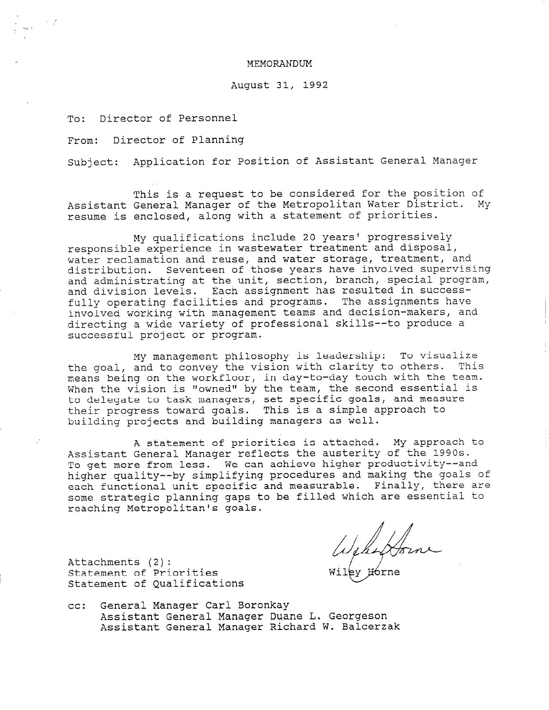MEMORANDUM

#### August 31, 1992

To: Director of Personnel

From: Director of Planning

Subject: Application for Position of Assistant General Manager

This is a request to be considered for the position of Assistant General Manager of the Metropolitan Water District. My resume is enclosed, along with a statement of priorities.

My qualifications include 20 years' progressively responsible experience in wastewater treatment and disposal, water reclamation and reuse, and water storage, treatment, and distribution. Seventeen of those years have involved supervising and administrating at the unit, section, branch, special program, and division levels. Each assignment has resulted in successfully operating facilities and programs. The assignments have involved working with management teams and decision-makers, and directing a wide variety of professional skills--to produce a successful project or program.

My management philosophy is leadership: To visualize the goal, and to convey the vision with clarity to others. This means being on the workfloor, in day-to-day touch with the team. When the vision is "owned" by the team, the second essential is to delegate to task managers, set specific goals, and measure their progress toward goals. This is a simple approach to building projects and building managers as well.

A statement of priorities is attached. My approach to Assistant General Manager reflects the austerity of the 1990s. To get more from less. We can achieve higher productivity--and higher quality--by simplifying procedures and making the goals of each functional unit specific and measurable. Finally, there are some strategic planning gaps to be filled which are essential to reaching Metropolitan's goals.

Attachments (2): Statement of Priorities Statement of Qualifications

Wiley Horne

cc: General Manager Carl Boronkay Assistant General Manager Duane L. Georgeson Assistant General Manager Richard W. Balcerzak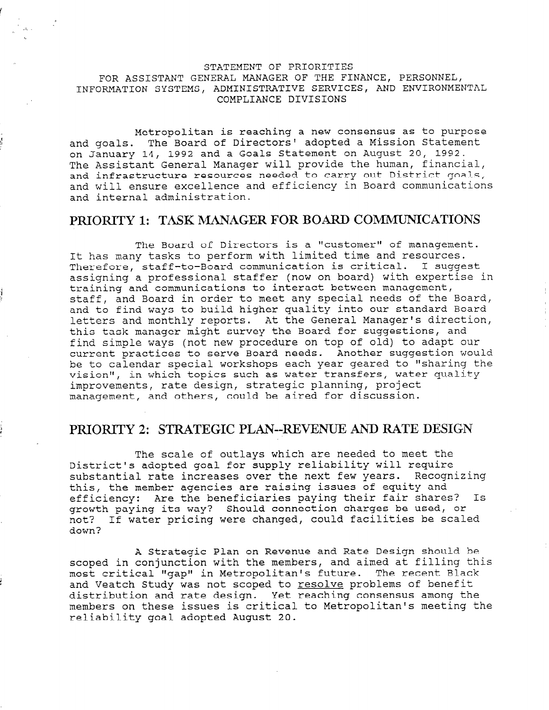## STATEMENT OF PRIORITIES FOR ASSISTANT GENERAL MANAGER OF THE FINANCE, PERSONNEL, INFORMATION SYSTEMS, ADMINISTRATIVE SERVICES, AND ENVIRONMENTAL COMPLIANCE DIVISIONS

Metropolitan is reaching a new consensus as to purpose and goals. The Board of Directors' adopted a Mission Statement on January 14, 1992 and a Goals Statement on August 20, 1992. The Assistant General Manager will provide the human, financial, and infrastructure resources needed to carry out District goals, and will ensure excellence and efficiency in Board communications and internal administration.

## PRIORITY 1: TASK MANAGER FOR BOARD COMMUNICATIONS

The Board of Directors is a "customer" of management. It has many tasks to perform with limited time and resources. Therefore, staff-to-Board communication is critical. I suggest assigning a professional staffer (now on board) with expertise in training and communications to interact between management, staff, and Board in order to meet any special needs of the Board, and to find ways to build higher quality into our standard Board letters and monthly reports. At the General Manager's direction, this task manager might survey the Board for suggestions, and find simple ways (not new procedure on top of old) to adapt our current practices to serve Board needs. Another suggestion would be to calendar special workshops each year geared to "sharing the vision", in which topics such as water transfers, water quality improvements, rate design, strategic planning, project management, and others, could be aired for discussion.

## PRIORITY 2: STRATEGIC PLAN--REVENUE AND RATE DESIGN

The scale of outlays which are needed to meet the District's adopted goal for supply reliability will require substantial rate increases over the next few years. Recognizing substantial face increases over the next few jears: heoog efficiency: Are the beneficiaries paying their fair shares? Is efficiency: Are the beneficiaries paying their fair shares?<br>growth paying its way? Should connection charges be used, or not? If water pricing were changed, could facilities be scaled down?

A Strategic Plan on Revenue and Rate Design should be scoped in conjunction with the members, and aimed at filling this scoped in conjunction with the members, and aimed at fiffing the second Black most critical "gap" in Metropolitan's ritual problems of and Veatch Study was not scoped to resolve problems of benefit<br>distribution and rate design. Yet reaching consensus among the distribution and rate design. Tet reaching consensus among the rempers on these issues is critica.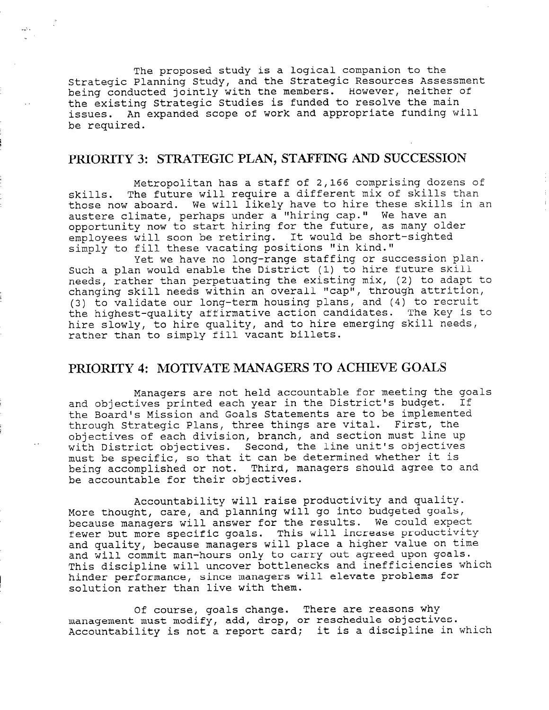The proposed study is a logical companion to the Strategic Planning Study, and the Strategic Resources Assessment being conducted jointly with the members. However, neither of the existing Strategic Studies is funded to resolve the main issues. An expanded scope of work and appropriate funding will be required.

..\*'. 1

# PRIORITY 3: STRATEGIC PLAN, STAFFING AND SUCCESSION

Metropolitan has a staff of 2,166 comprising dozens of skills. The future will require a different mix of skills than those now aboard. We will likely have to hire these skills in an austere climate, perhaps under a "hiring cap." We have an opportunity now to start hiring for the future, as many older employees will soon be retiring. It would be short-sighted simply to fill these vacating positions "in kind."

Yet we have no long-range staffing or succession plan. Such a plan would enable the District (1) to hire future skill needs, rather than perpetuating the existing mix, (2) to adapt to changing skill needs within an overall "cap", through attrition, (3) to validate our long-term housing plans, and (4) to recruit the highest-quality affirmative action candidates. The key is to hire slowly, to hire quality, and to hire emerging skill needs, rather than to simply fill vacant billets.

## PRIORITY 4: MOTIVATE MANAGERS TO ACHIEVE GOALS

Managers are not held accountable for meeting the goals and objectives printed each year in the District's budget. If the Board's Mission and Goals Statements are to be implemented through Strategic Plans, three things are vital. First, the objectives of each division, branch, and section must line up with District objectives. Second, the line unit's objectives must be specific, so that it can be determined whether it is being accomplished or not. Third, managers should agree to and be accountable for their objectives.

Accountability will raise productivity and quality. More thought, care, and planning will go into budgeted goals, because managers will answer for the results. We could expect fewer but more specific goals. This will increase productivity and quality, because managers will place a higher value on time and will commit man-hours only to carry out agreed upon goals. This discipline will uncover bottlenecks and inefficiencies which hinder performance, since managers will elevate problems for solution rather than live with them.

Of course, goals change. There are reasons why management must modify, add, drop, or reschedule objectives. Accountability is not a report card; it is a discipline in which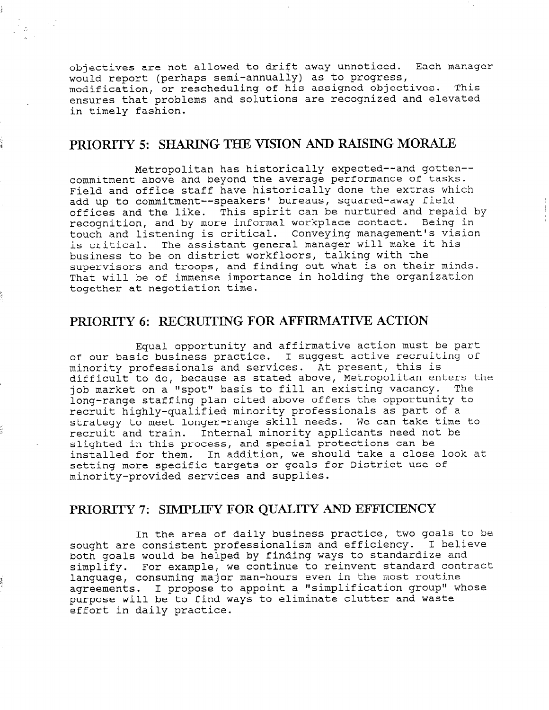objectives are not allowed to drift away unnoticed. Each manager would report (perhaps semi-annually) as to progress, modification, or rescheduling of his assigned objectives. This ensures that problems and solutions are recognized and elevated in timely fashion.

## PRIORITY 5: SHARING THE VISION AND RAISING MORALE

Metropolitan has historically expected--and gotten- commitment above and beyond the average performance of tasks. Field and office staff have historically done the extras which add up to commitment--speakers' bureaus, squared-away field offices and the like. This spirit can be nurtured and repaid by recognition, and by more informal workplace contact. Being in touch and listening is critical. Conveying management's vision is critical. The assistant general manager will make it his business to be on district workfloors, talking with the supervisors and troops, and finding out what is on their minds. That will be of immense importance in holding the organization together at negotiation time.

## PRIORITY 6: RECRUITING FOR AFFIRMATIVE ACTION

Equal opportunity and affirmative action must be part of our basic business practice. I suggest active recruiting of minority professionals and services. At present, this is difficult to do, because as stated above, Metropolitan enters the iob market on a "spot" basis to fill an existing vacancy. The long-range staffing plan cited above offers the opportunity to recruit highly-qualified minority professionals as part of a strategy to meet longer-range skill needs. We can take time to recruit and train. Internal minority applicants need not be slighted in this process, and special protections can be installed for them. In addition, we should take a close look at setting more specific targets or goals for District use of minority-provided services and supplies.

## PRIORITY 7: SIMPLIFY FOR QUALITY AND EFFICIENCY

In the area of daily business practice, two goals to be sought are consistent professionalism and efficiency. I believe both goals would be helped by finding ways to standardize and simplify. For example, we continue to reinvent standard contract simplify. In example, we concinue to refusent standard of ranguage, consuming major man-nours even in the most routine agreements. I propose to appoint a simplification group effort in daily practice.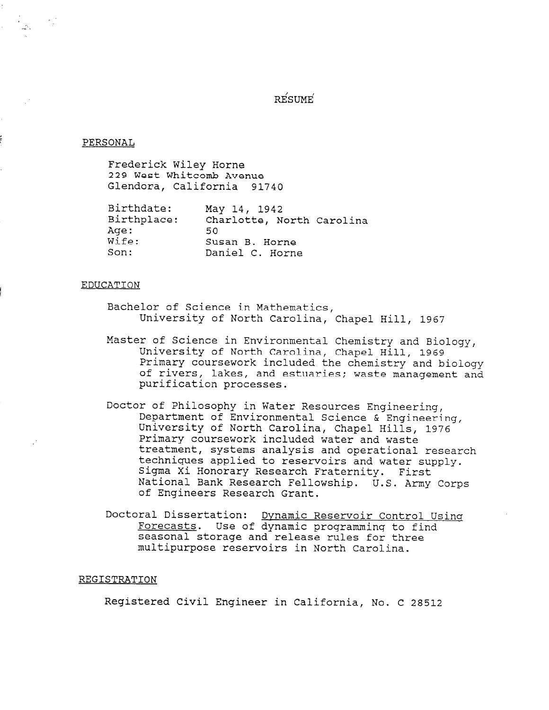RESUME<sup>1</sup>

## PERSONAL

..^ .

Frederick Wiley Horne 229 West Whitcomb Avenue Glendora, California 91740

| Birthdate:  | May 14, 1942              |
|-------------|---------------------------|
| Birthplace: | Charlotte, North Carolina |
| Age:        | 50.                       |
| Wife:       | Susan B. Horne            |
| Son:        | Daniel C. Horne           |

## EDUCATION

Bachelor of Science in Mathematics, University of North Carolina, Chapel Hill, 1967

- Master of Science in Environmental Chemistry and Biology, University of North Carolina, Chapel Hill, 1969 Primary coursework included the chemistry and biology of rivers, lakes, and estuaries; waste management and purification processes.
- Doctor of Philosophy in Water Resources Engineering, Department of Environmental Science & Engineering, Department of Environmental Science & Engineering,<br>University of North Carolina, Chapel Hills, 1976 Primary coursework included water and waste treatment, systems analysis and operational research techniques applied to reservoirs and water supply. Cechniques applieu co reservoirs and water s National Bank Research Fellowship. of Engineers Research Grant. y. FILST<br>U.S. Army Corps
- Doctoral Dissertation: Dvnamic Reservoir Control Usinq rai Dissertation: <u>Dynamic Reservoir Control</u> rofecasts. Use of dynamic programming to f seasonal storage and release rules for three<br>multipurpose reservoirs in North Carolina.

### REGISTRATION

Registered Civil Engineer in California, No. C 28512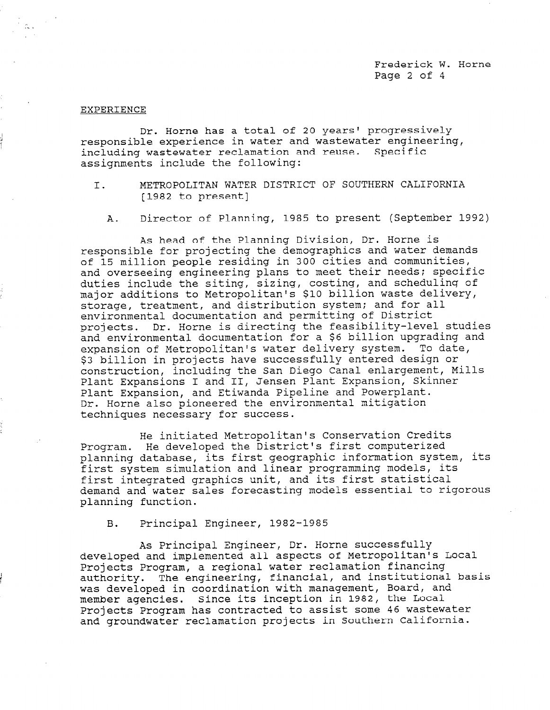#### EXPERIENCE

Dr. Horne has a total of 20 years' progressively responsible experience in water and wastewater engineering, including wastewater reclamation and reuse. Specific assignments include the following:

- I. METROPOLITAN WATER DISTRICT OF SOUTHERN CALIFORNIA [1982 to present]
	- A. Director of Planning, 1985 to present (September 1992)

As head of the Planning Division, Dr. Horne is responsible for projecting the demographics and water demands of 15 million people residing in 300 cities and communities, and overseeing engineering plans to meet their needs: specific duties include the siting, sizing, costing, and scheduling of major additions to Metropolitan's \$10 billion waste delivery, storage, treatment, and distribution system; and for all environmental documentation and permitting of District projects. Dr. Horne is directing the feasibility-level studies and environmental documentation for a \$6 billion upgrading and expansion of Metropolitan's water delivery system. To date, \$3 billion in projects have successfully entered design or construction, including the San Diego Canal enlargement, Mills Plant Expansions I and II, Jensen Plant Expansion, Skinner Plant Expansion, and Etiwanda Pipeline and Powerplant. Dr. Horne also pioneered the environmental mitigation techniques necessary for success.

He initiated Metropolitan's Conservation Credits Program. He developed the District's first computerized planning database, its first geographic information system, its first system simulation and linear programming models, its first integrated graphics unit, and its first statistical demand and water sales forecasting models essential to rigorous planning function.

B. Principal Engineer, 1982-1985

As Principal Engineer, Dr. Horne successfully developed and implemented all aspects of Metropolitan's Local Projects Program, a regional water reclamation financing authority. The engineering, financial, and institutional basis authority. The engineering, financial, and insertational was developed in cooldination with management, boald, a member agencies. Since its inception in 1982, the Local<br>Projects Program has contracted to assist some 46 wastewater and groundwater reclamation projects in Southern California.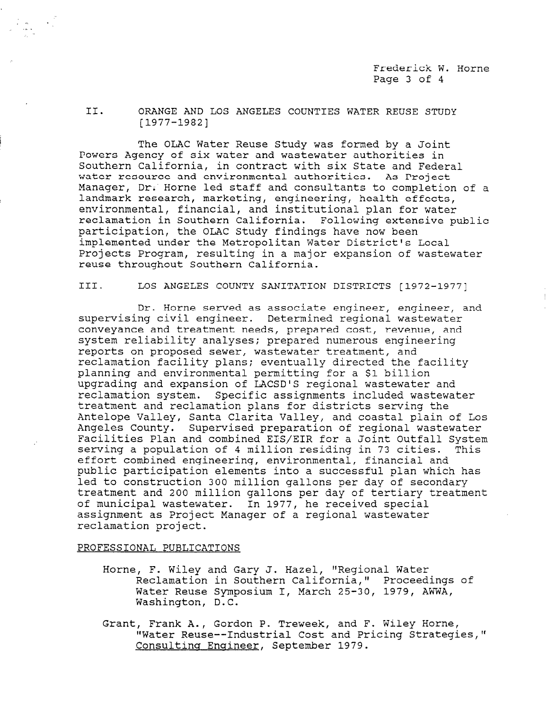## II. ORANGE AND LOS ANGELES COUNTIES WATER REUSE STUDY [1977-19821

The OLAC Water Reuse Study was formed by a Joint Powers Agency of six water and wastewater authorities in Southern California, in contract with six State and Federal water resource and environmental authorities. As Project Manager, Dr;'Horne led staff and consultants to completion of a landmark research, marketing, engineering, health effects, environmental, financial, and institutional plan for water reclamation in Southern California. Following extensive public participation, the OLAC Study findings have now been implemented under the Metropolitan Water District's Local Projects Program, resulting in a major expansion of wastewater reuse throughout Southern California.

#### III. LOS ANGELES COUNTY SANITATION DISTRICTS [1972-19771

Dr. Horne served as associate engineer, engineer, and supervising civil engineer. Determined regional wastewater conveyance and treatment needs, prepared cost, revenue, and system reliability analyses; prepared numerous engineering reports on proposed sewer, wastewater treatment, and reclamation facility plans: eventually directed the facility planning and environmental permitting for a \$1 billion upgrading and expansion of LACSD'S regional wastewater and reclamation system. Specific assignments included wastewater treatment and reclamation plans for districts serving the Antelope Valley, Santa Clarita Valley, and coastal plain of Los Angeles County. Supervised preparation of regional wastewater Facilities Plan and combined EIS/EIR for a Joint Outfall System serving a population of 4 million residing in 73 cities. This effort combined engineering, environmental, financial and public participation elements into a successful plan which has led to construction 300 million gallons per day of secondary treatment and 200 million gallons per day of tertiary treatment of municipal wastewater. In 1977, he received special of municipal wastewater. In 1977, he received special<br>assignment as Project Manager of a regional wastewater reclamation project.

### PROFESSIONAL PUBLICATIONS

- Horne, F. Wiley and Gary J. Hazel, "Regional Water Reclamation in Southern California,1' Proceedings of Wediamation in Southern California, Proceedings water keuse Symp
- Grant, Frank A., Gordon P. Treweek, and F. Wiley Horne, , Frank A., Gordon P. Treweek, and P. Wiley Horne, "Water Reuse--Industrial Cost and Pricing Strategies,"<br>Consulting Engineer, September 1979.